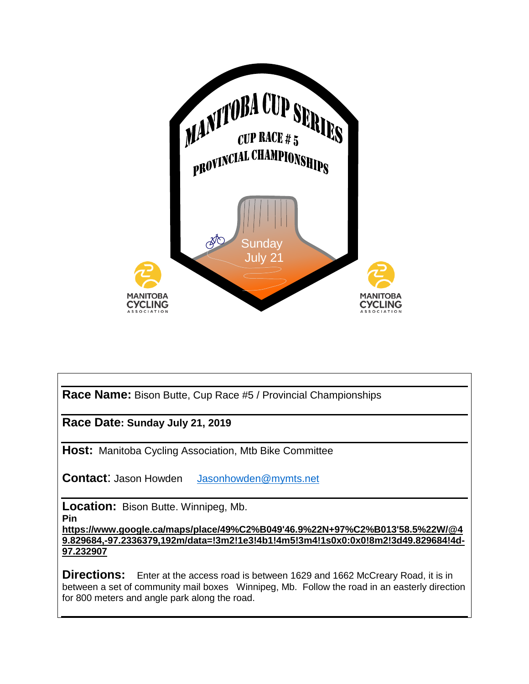

**Race Name:** Bison Butte, Cup Race #5 / Provincial Championships

**Race Date: Sunday July 21, 2019**

**Host:** Manitoba Cycling Association, Mtb Bike Committee

**Contact**: Jason Howden [Jasonhowden@mymts.net](mailto:Jasonhowden@mymts.net) 

**Location:** Bison Butte. Winnipeg, Mb.

**Pin** 

**[https://www.google.ca/maps/place/49%C2%B049'46.9%22N+97%C2%B013'58.5%22W/@4](https://www.google.ca/maps/place/49%C2%B049) [9.829684,-97.2336379,192m/data=!3m2!1e3!4b1!4m5!3m4!1s0x0:0x0!8m2!3d49.829684!4d-](https://www.google.ca/maps/place/49%C2%B049)[97.232907](https://www.google.ca/maps/place/49%C2%B049)** 

**Directions:** Enter at the access road is between 1629 and 1662 McCreary Road, it is in between a set of community mail boxes Winnipeg, Mb. Follow the road in an easterly direction for 800 meters and angle park along the road.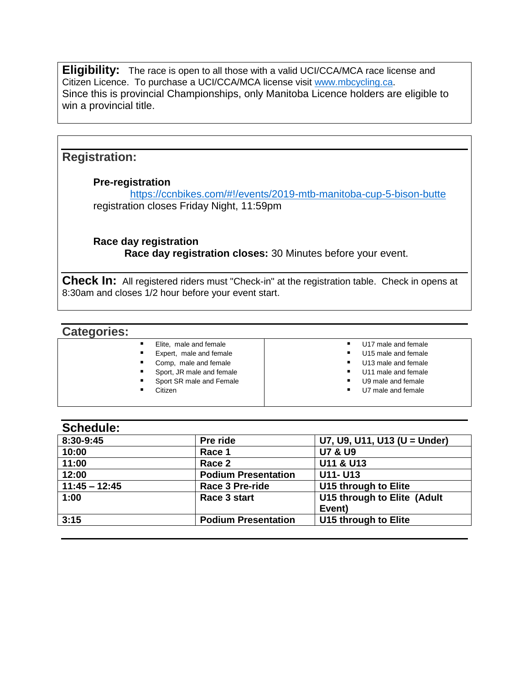**Eligibility:** The race is open to all those with a valid UCI/CCA/MCA race license and Citizen Licence. To purchase a UCI/CCA/MCA license visit [www.mbcycling.ca.](http://www.mbcycling.ca/) Since this is provincial Championships, only Manitoba Licence holders are eligible to win a provincial title.

## **Registration:**

#### **Pre-registration**

 <https://ccnbikes.com/#!/events/2019-mtb-manitoba-cup-5-bison-butte> registration closes Friday Night, 11:59pm

**Race day registration Race day registration closes:** 30 Minutes before your event.

**Check In:** All registered riders must "Check-in" at the registration table. Check in opens at 8:30am and closes 1/2 hour before your event start.

| <b>Categories:</b> |                           |                                      |
|--------------------|---------------------------|--------------------------------------|
|                    | Elite, male and female    | U17 male and female<br>٠             |
|                    | Expert, male and female   | U15 male and female<br>٠             |
|                    | Comp, male and female     | U13 male and female<br>٠             |
|                    | Sport, JR male and female | U11 male and female<br>٠             |
|                    | Sport SR male and Female  | U9 male and female<br>٠              |
|                    | Citizen                   | U7 male and female<br>$\blacksquare$ |
|                    |                           |                                      |

### **Schedule:**

| Pre ride                   | U7, U9, U11, U13 (U = Under) |
|----------------------------|------------------------------|
| Race 1                     | <b>U7 &amp; U9</b>           |
| Race 2                     | U11 & U13                    |
| <b>Podium Presentation</b> | U11- U13                     |
| <b>Race 3 Pre-ride</b>     | U15 through to Elite         |
| Race 3 start               | U15 through to Elite (Adult  |
|                            | Event)                       |
| <b>Podium Presentation</b> | U15 through to Elite         |
|                            |                              |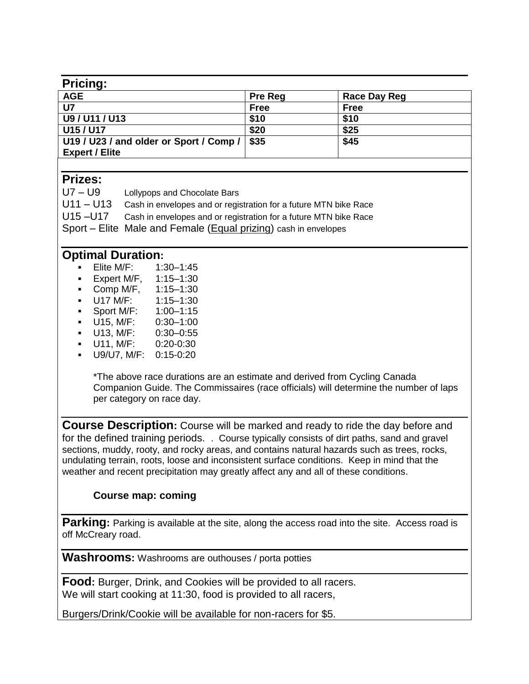| <b>Pricing:</b>                         |                |              |
|-----------------------------------------|----------------|--------------|
| <b>AGE</b>                              | <b>Pre Reg</b> | Race Day Reg |
| U7                                      | <b>Free</b>    | <b>Free</b>  |
| U9/U11/U13                              | \$10           | \$10         |
| U15 / U17                               | \$20           | \$25         |
| U19 / U23 / and older or Sport / Comp / | \$35           | \$45         |
| <b>Expert / Elite</b>                   |                |              |

## **Prizes:**

| $U7 - U9$   | Lollypops and Chocolate Bars                                     |
|-------------|------------------------------------------------------------------|
| $U11 - U13$ | Cash in envelopes and or registration for a future MTN bike Race |
| U15-U17     | Cash in envelopes and or registration for a future MTN bike Race |
|             | Sport – Elite Male and Female (Equal prizing) cash in envelopes  |

# **Optimal Duration:**

- Elite M/F: 1:30–1:45
- Expert M/F, 1:15-1:30
- Comp M/F, 1:15–1:30
- U17 M/F: 1:15–1:30
- Sport M/F: 1:00–1:15
- U15, M/F: 0:30–1:00
- U13, M/F: 0:30–0:55
- U11, M/F: 0:20-0:30 ▪ U9/U7, M/F: 0:15-0:20

\*The above race durations are an estimate and derived from Cycling Canada Companion Guide. The Commissaires (race officials) will determine the number of laps per category on race day.

**Course Description:** Course will be marked and ready to ride the day before and for the defined training periods. . Course typically consists of dirt paths, sand and gravel sections, muddy, rooty, and rocky areas, and contains natural hazards such as trees, rocks, undulating terrain, roots, loose and inconsistent surface conditions. Keep in mind that the weather and recent precipitation may greatly affect any and all of these conditions.

# **Course map: coming**

**Parking:** Parking is available at the site, along the access road into the site. Access road is off McCreary road.

**Washrooms:** Washrooms are outhouses / porta potties

**Food:** Burger, Drink, and Cookies will be provided to all racers. We will start cooking at 11:30, food is provided to all racers,

Burgers/Drink/Cookie will be available for non-racers for \$5.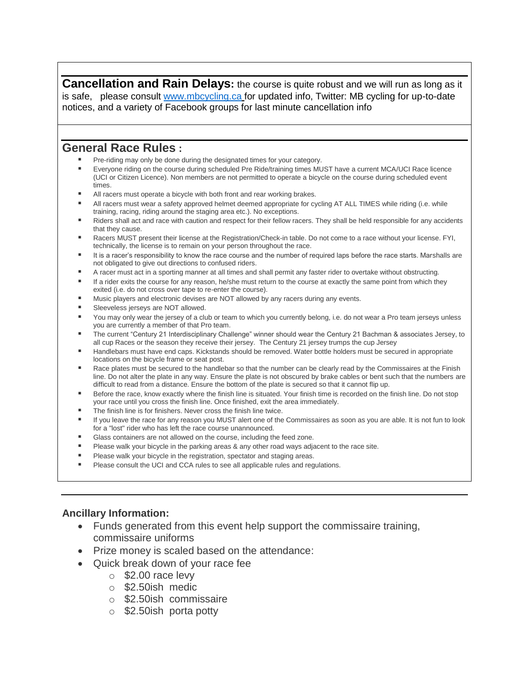**Cancellation and Rain Delays:** the course is quite robust and we will run as long as it is safe, please consult [www.mbcycling.ca](http://www.mbcycling.ca/) for updated info, Twitter: MB cycling for up-to-date notices, and a variety of Facebook groups for last minute cancellation info

### **General Race Rules :**

- Pre-riding may only be done during the designated times for your category.
- Everyone riding on the course during scheduled Pre Ride/training times MUST have a current MCA/UCI Race licence (UCI or Citizen Licence). Non members are not permitted to operate a bicycle on the course during scheduled event times.
- All racers must operate a bicycle with both front and rear working brakes.
- All racers must wear a safety approved helmet deemed appropriate for cycling AT ALL TIMES while riding (i.e. while training, racing, riding around the staging area etc.). No exceptions.
- Riders shall act and race with caution and respect for their fellow racers. They shall be held responsible for any accidents that they cause.
- Racers MUST present their license at the Registration/Check-in table. Do not come to a race without your license. FYI, technically, the license is to remain on your person throughout the race.
- It is a racer's responsibility to know the race course and the number of required laps before the race starts. Marshalls are not obligated to give out directions to confused riders.
- A racer must act in a sporting manner at all times and shall permit any faster rider to overtake without obstructing.
- If a rider exits the course for any reason, he/she must return to the course at exactly the same point from which they exited (i.e. do not cross over tape to re-enter the course).
- Music players and electronic devises are NOT allowed by any racers during any events.
- Sleeveless jerseys are NOT allowed.
- You may only wear the jersey of a club or team to which you currently belong, i.e. do not wear a Pro team jerseys unless you are currently a member of that Pro team.
- The current "Century 21 Interdisciplinary Challenge" winner should wear the Century 21 Bachman & associates Jersey, to all cup Races or the season they receive their jersey. The Century 21 jersey trumps the cup Jersey
- Handlebars must have end caps. Kickstands should be removed. Water bottle holders must be secured in appropriate locations on the bicycle frame or seat post.
- Race plates must be secured to the handlebar so that the number can be clearly read by the Commissaires at the Finish line. Do not alter the plate in any way. Ensure the plate is not obscured by brake cables or bent such that the numbers are difficult to read from a distance. Ensure the bottom of the plate is secured so that it cannot flip up.
- Before the race, know exactly where the finish line is situated. Your finish time is recorded on the finish line. Do not stop
- your race until you cross the finish line. Once finished, exit the area immediately.
- The finish line is for finishers. Never cross the finish line twice.
- If you leave the race for any reason you MUST alert one of the Commissaires as soon as you are able. It is not fun to look for a "lost" rider who has left the race course unannounced.
- Glass containers are not allowed on the course, including the feed zone.
- Please walk your bicycle in the parking areas & any other road ways adjacent to the race site.
- Please walk your bicycle in the registration, spectator and staging areas.
- Please consult the UCI and CCA rules to see all applicable rules and regulations.

#### **Ancillary Information:**

- Funds generated from this event help support the commissaire training, commissaire uniforms
- Prize money is scaled based on the attendance:
- Quick break down of your race fee
	- $\circ$  \$2.00 race levy
	- o \$2.50ish medic
	- o \$2.50ish commissaire
	- o \$2.50ish porta potty